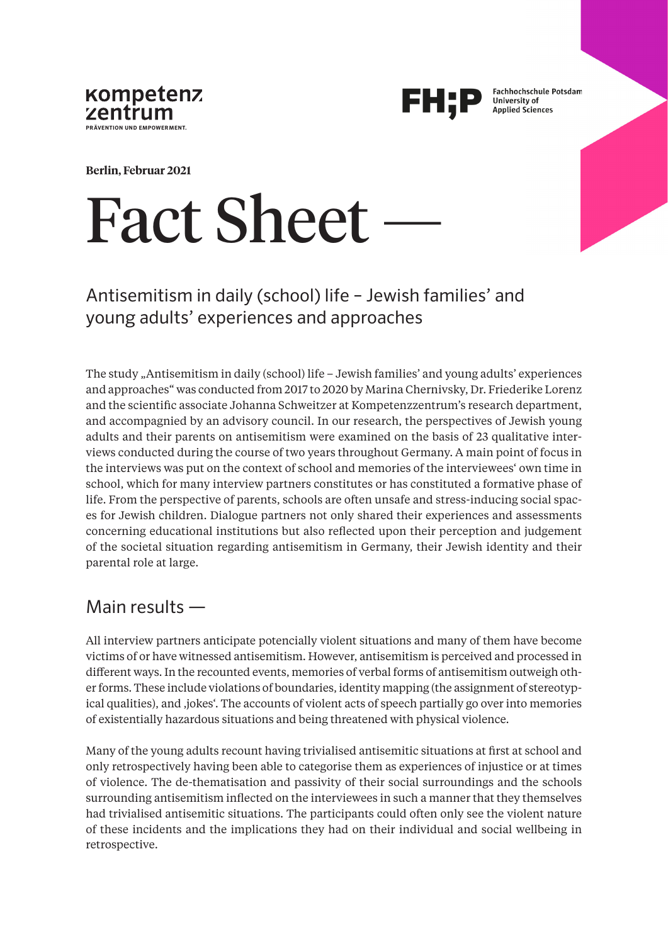



**Fachhochschule Potsdam** University of **Applied Sciences** 

**Berlin, Februar 2021**

# **Fact Sheet**

## Antisemitism in daily (school) life – Jewish families' and young adults' experiences and approaches

The study "Antisemitism in daily (school) life – Jewish families' and young adults' experiences and approaches" was conducted from 2017 to 2020 by Marina Chernivsky, Dr. Friederike Lorenz and the scientific associate Johanna Schweitzer at Kompetenzzentrum's research department, and accompagnied by an advisory council. In our research, the perspectives of Jewish young adults and their parents on antisemitism were examined on the basis of 23 qualitative interviews conducted during the course of two years throughout Germany. A main point of focus in the interviews was put on the context of school and memories of the interviewees' own time in school, which for many interview partners constitutes or has constituted a formative phase of life. From the perspective of parents, schools are often unsafe and stress-inducing social spaces for Jewish children. Dialogue partners not only shared their experiences and assessments concerning educational institutions but also reflected upon their perception and judgement of the societal situation regarding antisemitism in Germany, their Jewish identity and their parental role at large.

## Main results —

All interview partners anticipate potencially violent situations and many of them have become victims of or have witnessed antisemitism. However, antisemitism is perceived and processed in different ways. In the recounted events, memories of verbal forms of antisemitism outweigh other forms. These include violations of boundaries, identity mapping (the assignment of stereotypical qualities), and 'jokes'. The accounts of violent acts of speech partially go over into memories of existentially hazardous situations and being threatened with physical violence.

Many of the young adults recount having trivialised antisemitic situations at first at school and only retrospectively having been able to categorise them as experiences of injustice or at times of violence. The de-thematisation and passivity of their social surroundings and the schools surrounding antisemitism inflected on the interviewees in such a manner that they themselves had trivialised antisemitic situations. The participants could often only see the violent nature of these incidents and the implications they had on their individual and social wellbeing in retrospective.